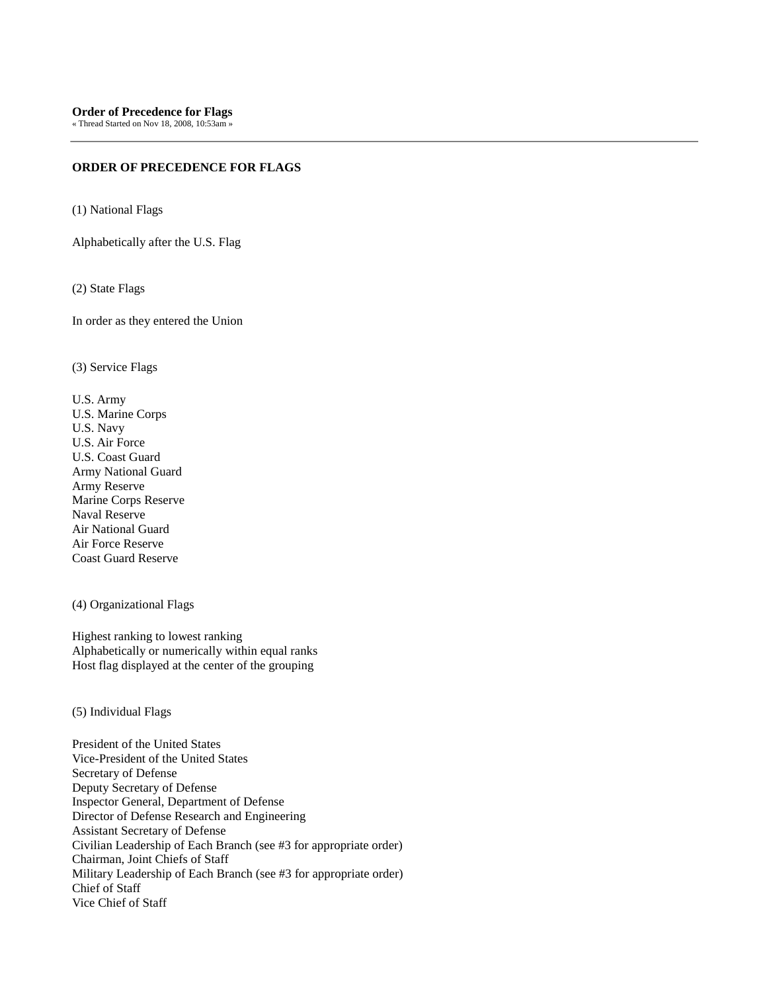## **ORDER OF PRECEDENCE FOR FLAGS**

(1) National Flags

Alphabetically after the U.S. Flag

(2) State Flags

In order as they entered the Union

(3) Service Flags

U.S. Army U.S. Marine Corps U.S. Navy U.S. Air Force U.S. Coast Guard Army National Guard Army Reserve Marine Corps Reserve Naval Reserve Air National Guard Air Force Reserve Coast Guard Reserve

(4) Organizational Flags

Highest ranking to lowest ranking Alphabetically or numerically within equal ranks Host flag displayed at the center of the grouping

(5) Individual Flags

President of the United States Vice-President of the United States Secretary of Defense Deputy Secretary of Defense Inspector General, Department of Defense Director of Defense Research and Engineering Assistant Secretary of Defense Civilian Leadership of Each Branch (see #3 for appropriate order) Chairman, Joint Chiefs of Staff Military Leadership of Each Branch (see #3 for appropriate order) Chief of Staff Vice Chief of Staff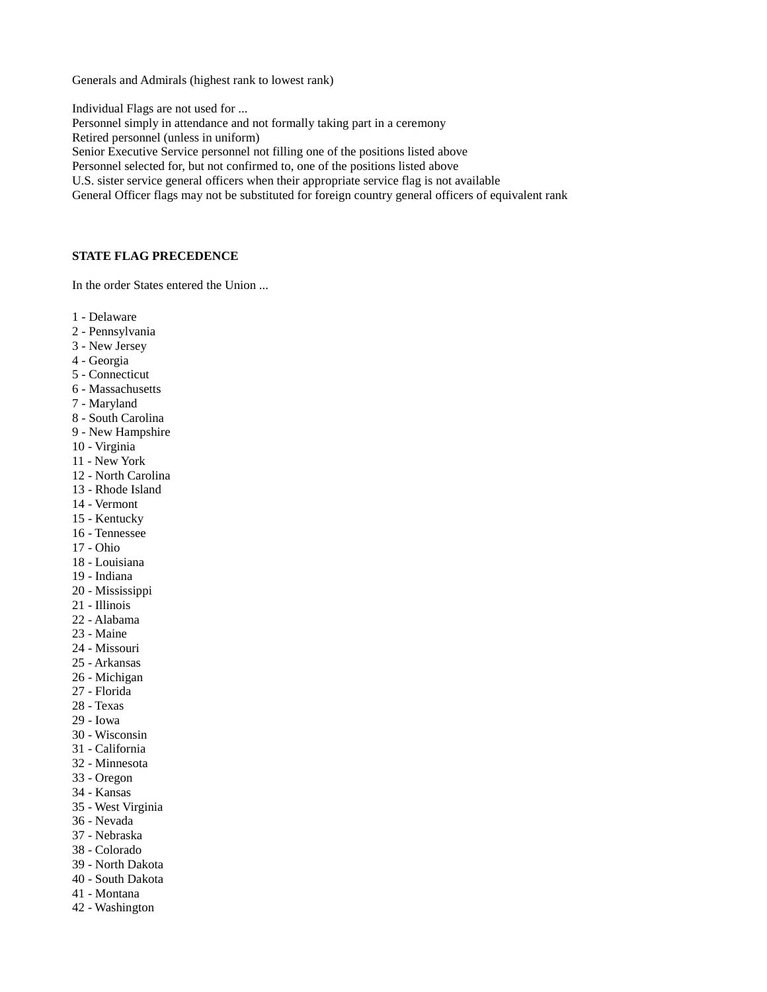Generals and Admirals (highest rank to lowest rank)

Individual Flags are not used for ... Personnel simply in attendance and not formally taking part in a ceremony Retired personnel (unless in uniform) Senior Executive Service personnel not filling one of the positions listed above Personnel selected for, but not confirmed to, one of the positions listed above U.S. sister service general officers when their appropriate service flag is not available General Officer flags may not be substituted for foreign country general officers of equivalent rank

## **STATE FLAG PRECEDENCE**

In the order States entered the Union ...

- 1 Delaware
- 2 Pennsylvania
- 3 New Jersey
- 4 Georgia
- 5 Connecticut
- 6 Massachusetts
- 7 Maryland
- 8 South Carolina
- 9 New Hampshire
- 10 Virginia
- 11 New York
- 12 North Carolina
- 13 Rhode Island
- 14 Vermont
- 15 Kentucky
- 16 Tennessee
- 17 Ohio
- 18 Louisiana
- 19 Indiana
- 20 Mississippi
- 21 Illinois
- 22 Alabama
- 23 Maine
- 24 Missouri
- 25 Arkansas
- 26 Michigan
- 27 Florida
- 28 Texas
- 29 Iowa
- 30 Wisconsin
- 31 California
- 32 Minnesota
- 33 Oregon
- 34 Kansas
- 35 West Virginia
- 36 Nevada
- 37 Nebraska
- 38 Colorado
- 39 North Dakota
- 40 South Dakota
- 41 Montana
- 42 Washington